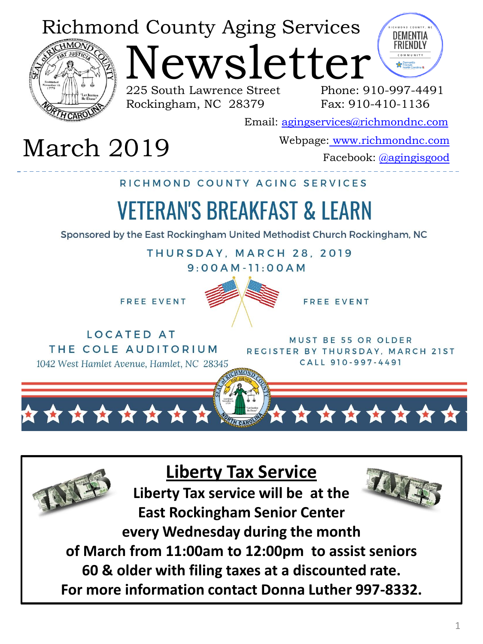### Richmond County Aging Services



lewsletter

225 South Lawrence Street Rockingham, NC 28379

DEMENTIA **FRIENDIY** 

Phone: 910-997-4491 Fax: 910-410-1136

Email: [agingservices@richmondnc.com](mailto:agingservices@richmondnc.com)

# Webpage: [www.richmondnc.com](http://www.richmondnc.com/) March 2019 Facebook: [@agingisgood](https://www.facebook.com/agingisgood/)

RICHMOND COUNTY AGING SERVICES

## **VETERAN'S BREAKFAST & LEARN**

Sponsored by the East Rockingham United Methodist Church Rockingham, NC

THURSDAY, MARCH 28, 2019

 $9:00AM - 11:00AM$ 

FREE EVENT



**FREE EVENT** 

**LOCATED AT** THE COLE AUDITORIUM 1042 West Hamlet Avenue, Hamlet, NC 28345

MUST BE 55 OR OLDER REGISTER BY THURSDAY, MARCH 21ST CALL 910-997-4491



**Liberty Tax Service**

**Liberty Tax service will be at the East Rockingham Senior Center every Wednesday during the month**

**of March from 11:00am to 12:00pm to assist seniors** 

**60 & older with filing taxes at a discounted rate.**

**For more information contact Donna Luther 997-8332.**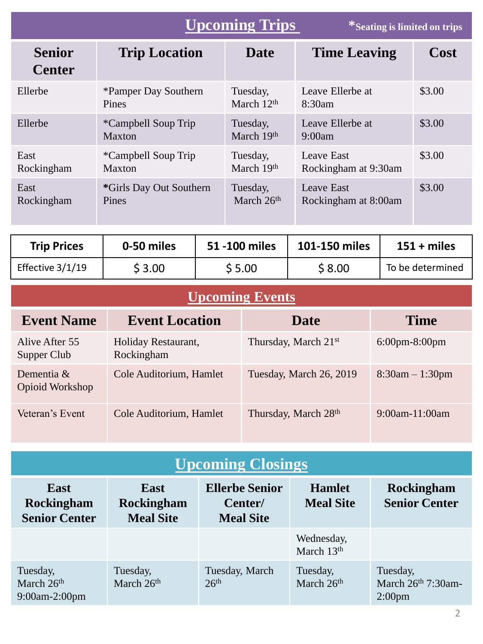|                                | <b>Upcoming Trips</b>                |                                    | *Seating is limited on trips       |        |
|--------------------------------|--------------------------------------|------------------------------------|------------------------------------|--------|
| <b>Senior</b><br><b>Center</b> | <b>Trip Location</b>                 | <b>Date</b>                        | <b>Time Leaving</b>                | Cost   |
| Ellerbe                        | *Pamper Day Southern<br><b>Pines</b> | Tuesday,<br>March $12th$           | Leave Ellerbe at<br>8:30am         | \$3.00 |
| Ellerbe                        | <i>*Campbell Soup Trip</i><br>Maxton | Tuesday,<br>March 19th             | Leave Ellerbe at<br>9:00am         | \$3.00 |
| East<br>Rockingham             | <i>*Campbell Soup Trip</i><br>Maxton | Tuesday,<br>March 19th             | Leave East<br>Rockingham at 9:30am | \$3.00 |
| East<br>Rockingham             | *Girls Day Out Southern<br>Pines     | Tuesday,<br>March 26 <sup>th</sup> | Leave East<br>Rockingham at 8:00am | \$3.00 |

| <b>Trip Prices</b> | 0-50 miles | 51 -100 miles | 101-150 miles | $151 + miles$    |
|--------------------|------------|---------------|---------------|------------------|
| Effective 3/1/19   | \$3.00     | \$ 5.00       | \$8.00        | To be determined |

### **Upcoming Events**

| <b>Event Name</b>                | <b>Event Location</b>             | <b>Date</b>                      | <b>Time</b>                       |
|----------------------------------|-----------------------------------|----------------------------------|-----------------------------------|
| Alive After 55<br>Supper Club    | Holiday Restaurant,<br>Rockingham | Thursday, March 21 <sup>st</sup> | $6:00 \text{pm} - 8:00 \text{pm}$ |
| Dementia $\&$<br>Opioid Workshop | Cole Auditorium, Hamlet           | Tuesday, March 26, 2019          | $8:30am - 1:30pm$                 |
| Veteran's Event                  | Cole Auditorium, Hamlet           | Thursday, March 28th             | 9:00am-11:00am                    |

| <b>Upcoming Closings</b>                                 |                                                      |                                                      |                                   |                                                        |
|----------------------------------------------------------|------------------------------------------------------|------------------------------------------------------|-----------------------------------|--------------------------------------------------------|
| <b>East</b><br><b>Rockingham</b><br><b>Senior Center</b> | <b>East</b><br><b>Rockingham</b><br><b>Meal Site</b> | <b>Ellerbe Senior</b><br>Center/<br><b>Meal Site</b> | <b>Hamlet</b><br><b>Meal Site</b> | <b>Rockingham</b><br><b>Senior Center</b>              |
|                                                          |                                                      |                                                      | Wednesday,<br>March $13th$        |                                                        |
| Tuesday,<br>March 26th<br>9:00am-2:00pm                  | Tuesday,<br>March 26th                               | Tuesday, March<br>26 <sup>th</sup>                   | Tuesday,<br>March 26th            | Tuesday,<br>March $26th$ 7:30am-<br>2:00 <sub>pm</sub> |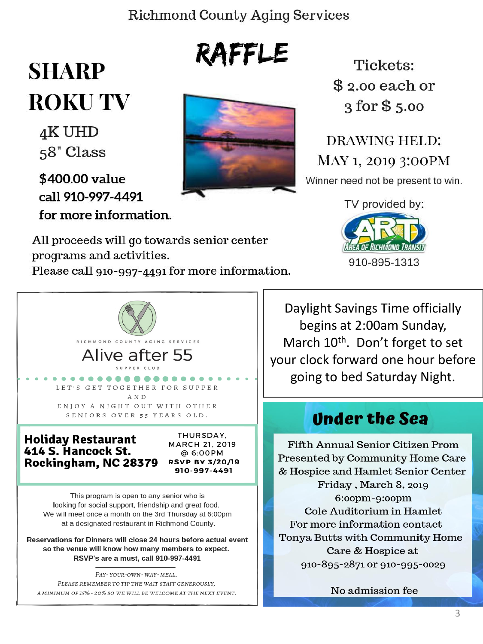#### **Richmond County Aging Services**

RAFFLE

## **SHARP ROKUTV**

4K UHD 58" Class

\$400.00 value call 910-997-4491 for more information.



Tickets: \$2.00 each or  $3$  for  $$5.00$ 

**DRAWING HELD:** MAY 1, 2019 3:00PM Winner need not be present to win.

TV provided by:



All proceeds will go towards senior center programs and activities.

Please call 910-997-4491 for more information.



Reservations for Dinners will close 24 hours before actual event so the venue will know how many members to expect. RSVP's are a must, call 910-997-4491

PAY-YOUR-OWN-WAY-MEAL. PLEASE REMEMBER TO TIP THE WAIT STAFF GENEROUSLY, A MINIMUM OF 15% - 20% SO WE WILL BE WELCOME AT THE NEXT EVENT.

Daylight Savings Time officially begins at 2:00am Sunday, March 10<sup>th</sup>. Don't forget to set your clock forward one hour before going to bed Saturday Night.

#### **Under the Sea**

**Fifth Annual Senior Citizen Prom** Presented by Community Home Care & Hospice and Hamlet Senior Center Friday, March 8, 2019  $6:00$ pm- $9:00$ pm Cole Auditorium in Hamlet For more information contact Tonya Butts with Community Home Care & Hospice at 910-895-2871 or 910-995-0029

No admission fee

3